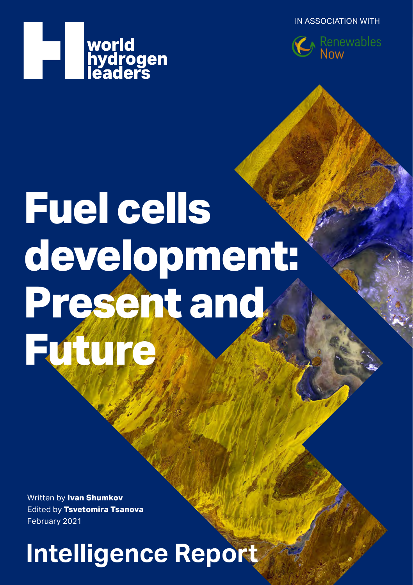IN ASSOCIATION WITH





# **Fuel cells development: Present and Future**

Written by **Ivan Shumkov** Edited by **Tsvetomira Tsanova** February 2021

**Intelligence Report**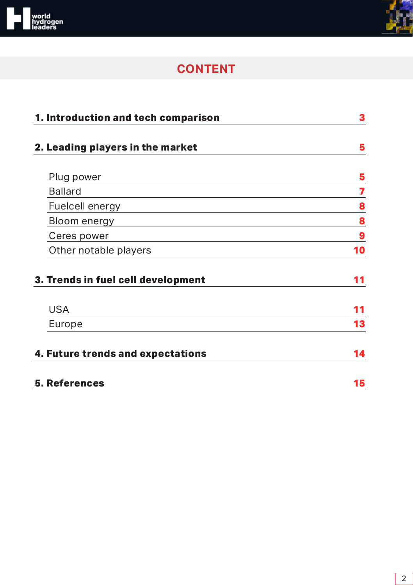



# **CONTENT**

| 1. Introduction and tech comparison | 3  |
|-------------------------------------|----|
| 2. Leading players in the market    | 5  |
| Plug power                          | 5  |
| <b>Ballard</b>                      | 7  |
| Fuelcell energy                     | 8  |
| Bloom energy                        | 8  |
| Ceres power                         | 9  |
| Other notable players               | 10 |
| 3. Trends in fuel cell development  | 11 |
| <b>USA</b>                          |    |
| Europe                              | 13 |
| 4. Future trends and expectations   | 14 |
| <b>5. References</b>                | 15 |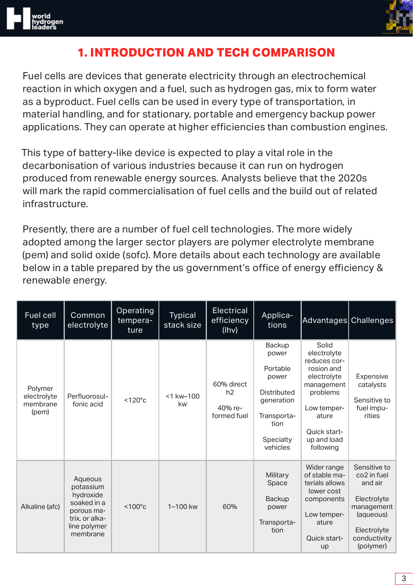<span id="page-2-0"></span>



# **1. INTRODUCTION AND TECH COMPARISON**

Fuel cells are devices that generate electricity through an electrochemical reaction in which oxygen and a fuel, such as hydrogen gas, mix to form water as a byproduct. Fuel cells can be used in every type of transportation, in material handling, and for stationary, portable and emergency backup power applications. They can operate at higher efficiencies than combustion engines.

This type of battery-like device is expected to play a vital role in the decarbonisation of various industries because it can run on hydrogen produced from renewable energy sources. Analysts believe that the 2020s will mark the rapid commercialisation of fuel cells and the build out of related infrastructure.

Presently, there are a number of fuel cell technologies. The more widely adopted among the larger sector players are polymer electrolyte membrane (pem) and solid oxide (sofc). More details about each technology are available below in a table prepared by the us government's office of energy efficiency & renewable energy.

| Fuel cell<br>type                           | Common<br>electrolyte                                                                                        | Operating<br>tempera-<br>ture | Typical<br>stack size | <b>Electrical</b><br>efficiency<br>(lhv)   | Applica-<br>tions                                                                                                        | Advantages Challenges                                                                                                                                           |                                                                                                                                          |
|---------------------------------------------|--------------------------------------------------------------------------------------------------------------|-------------------------------|-----------------------|--------------------------------------------|--------------------------------------------------------------------------------------------------------------------------|-----------------------------------------------------------------------------------------------------------------------------------------------------------------|------------------------------------------------------------------------------------------------------------------------------------------|
| Polymer<br>electrolyte<br>membrane<br>(pem) | Perfluorosul-<br>fonic acid                                                                                  | $< 120^{\circ}$ c             | <1 kw-100<br>kw       | 60% direct<br>h2<br>40% re-<br>formed fuel | Backup<br>power<br>Portable<br>power<br><b>Distributed</b><br>qeneration<br>Transporta-<br>tion<br>Specialty<br>vehicles | Solid<br>electrolyte<br>reduces cor-<br>rosion and<br>electrolyte<br>management<br>problems<br>Low temper-<br>ature<br>Quick start-<br>up and load<br>following | Expensive<br>catalysts<br>Sensitive to<br>fuel impu-<br>rities                                                                           |
| Alkaline (afc)                              | Aqueous<br>potassium<br>hydroxide<br>soaked in a<br>porous ma-<br>trix, or alka-<br>line polymer<br>membrane | $< 100^{\circ}$ c             | $1 - 100$ kw          | 60%                                        | Military<br>Space<br>Backup<br>power<br>Transporta-<br>tion                                                              | Wider range<br>of stable ma-<br>terials allows<br>lower cost<br>components<br>Low temper-<br>ature<br>Quick start-<br>up                                        | Sensitive to<br>co <sub>2</sub> in fuel<br>and air<br>Electrolyte<br>management<br>(aqueous)<br>Electrolyte<br>conductivity<br>(polymer) |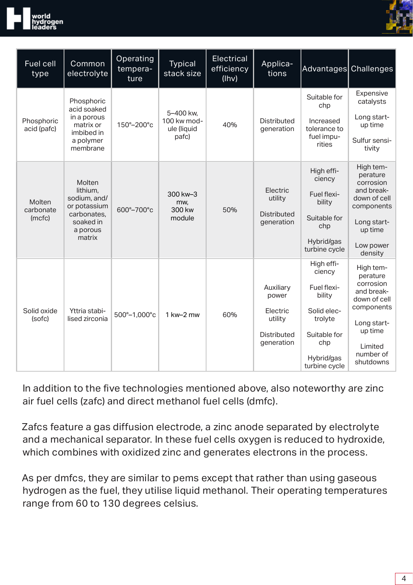



| Fuel cell<br>type             | Common<br>electrolyte                                                                                | Operating<br>tempera-<br>ture | Typical<br>stack size                            | Electrical<br>efficiency<br>(lhv) | Applica-<br>tions                                                      | Advantages Challenges                                                                                                         |                                                                                                                                               |
|-------------------------------|------------------------------------------------------------------------------------------------------|-------------------------------|--------------------------------------------------|-----------------------------------|------------------------------------------------------------------------|-------------------------------------------------------------------------------------------------------------------------------|-----------------------------------------------------------------------------------------------------------------------------------------------|
| Phosphoric<br>acid (pafc)     | Phosphoric<br>acid soaked<br>in a porous<br>matrix or<br>imbibed in<br>a polymer<br>membrane         | 150°-200°c                    | 5-400 kw.<br>100 kw mod-<br>ule (liquid<br>pafc) | 40%                               | Distributed<br>qeneration                                              | Suitable for<br>chp<br>Increased<br>tolerance to<br>fuel impu-<br>rities                                                      | Expensive<br>catalysts<br>Long start-<br>up time<br>Sulfur sensi-<br>tivity                                                                   |
| Molten<br>carbonate<br>(mcfc) | Molten<br>lithium.<br>sodium, and/<br>or potassium<br>carbonates.<br>soaked in<br>a porous<br>matrix | 600°-700°c                    | 300 kw-3<br>mw.<br>300 kw<br>module              | 50%                               | Electric<br>utility<br><b>Distributed</b><br>generation                | High effi-<br>ciency<br>Fuel flexi-<br>bility<br>Suitable for<br>chp<br>Hybrid/gas<br>turbine cycle                           | High tem-<br>perature<br>corrosion<br>and break-<br>down of cell<br>components<br>Long start-<br>up time<br>Low power<br>density              |
| Solid oxide<br>(sofc)         | Yttria stabi-<br>lised zirconia                                                                      | 500°-1,000°c                  | 1 kw-2 mw                                        | 60%                               | Auxiliary<br>power<br>Electric<br>utility<br>Distributed<br>generation | High effi-<br>ciency<br>Fuel flexi-<br>bility<br>Solid elec-<br>trolyte<br>Suitable for<br>chp<br>Hybrid/gas<br>turbine cycle | High tem-<br>perature<br>corrosion<br>and break-<br>down of cell<br>components<br>Long start-<br>up time<br>Limited<br>number of<br>shutdowns |

In addition to the five technologies mentioned above, also noteworthy are zinc air fuel cells (zafc) and direct methanol fuel cells (dmfc).

Zafcs feature a gas diffusion electrode, a zinc anode separated by electrolyte and a mechanical separator. In these fuel cells oxygen is reduced to hydroxide, which combines with oxidized zinc and generates electrons in the process.

As per dmfcs, they are similar to pems except that rather than using gaseous hydrogen as the fuel, they utilise liquid methanol. Their operating temperatures range from 60 to 130 degrees celsius.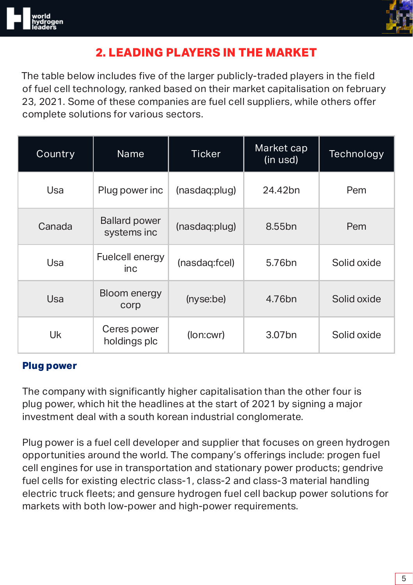

# **2. LEADING PLAYERS IN THE MARKET**

The table below includes five of the larger publicly-traded players in the field of fuel cell technology, ranked based on their market capitalisation on february 23, 2021. Some of these companies are fuel cell suppliers, while others offer complete solutions for various sectors.

| Country | Name                                | <b>Ticker</b> | Market cap<br>(in usd) | Technology  |
|---------|-------------------------------------|---------------|------------------------|-------------|
| Usa     | Plug power inc                      | (nasdaq:plug) | 24.42bn                | Pem         |
| Canada  | <b>Ballard power</b><br>systems inc | (nasdaq:plug) | 8.55 <sub>bn</sub>     | Pem         |
| Usa     | Fuelcell energy<br>inc.             | (nasdaq:fcel) | 5.76 <sub>bn</sub>     | Solid oxide |
| Usa     | Bloom energy<br>corp                | (nyse:be)     | 4.76 <sub>bn</sub>     | Solid oxide |
| Uk      | Ceres power<br>holdings plc         | (lon:cwr)     | 3.07 <sub>bn</sub>     | Solid oxide |

#### **Plug power**

The company with significantly higher capitalisation than the other four is plug power, which hit the headlines at the start of 2021 by signing a major investment deal with a south korean industrial conglomerate.

Plug power is a fuel cell developer and supplier that focuses on green hydrogen opportunities around the world. The company's offerings include: progen fuel cell engines for use in transportation and stationary power products; gendrive fuel cells for existing electric class-1, class-2 and class-3 material handling electric truck fleets; and gensure hydrogen fuel cell backup power solutions for markets with both low-power and high-power requirements.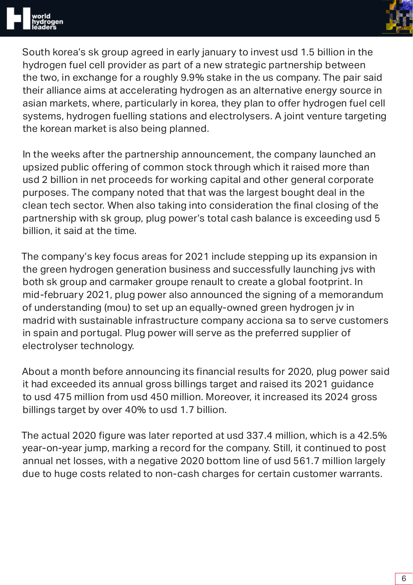

South korea's sk group agreed in early january to invest usd 1.5 billion in the hydrogen fuel cell provider as part of a new strategic partnership between the two, in exchange for a roughly 9.9% stake in the us company. The pair said their alliance aims at accelerating hydrogen as an alternative energy source in asian markets, where, particularly in korea, they plan to offer hydrogen fuel cell systems, hydrogen fuelling stations and electrolysers. A joint venture targeting the korean market is also being planned.

In the weeks after the partnership announcement, the company launched an upsized public offering of common stock through which it raised more than usd 2 billion in net proceeds for working capital and other general corporate purposes. The company noted that that was the largest bought deal in the clean tech sector. When also taking into consideration the final closing of the partnership with sk group, plug power's total cash balance is exceeding usd 5 billion, it said at the time.

The company's key focus areas for 2021 include stepping up its expansion in the green hydrogen generation business and successfully launching jvs with both sk group and carmaker groupe renault to create a global footprint. In mid-february 2021, plug power also announced the signing of a memorandum of understanding (mou) to set up an equally-owned green hydrogen jv in madrid with sustainable infrastructure company acciona sa to serve customers in spain and portugal. Plug power will serve as the preferred supplier of electrolyser technology.

About a month before announcing its financial results for 2020, plug power said it had exceeded its annual gross billings target and raised its 2021 guidance to usd 475 million from usd 450 million. Moreover, it increased its 2024 gross billings target by over 40% to usd 1.7 billion.

The actual 2020 figure was later reported at usd 337.4 million, which is a 42.5% year-on-year jump, marking a record for the company. Still, it continued to post annual net losses, with a negative 2020 bottom line of usd 561.7 million largely due to huge costs related to non-cash charges for certain customer warrants.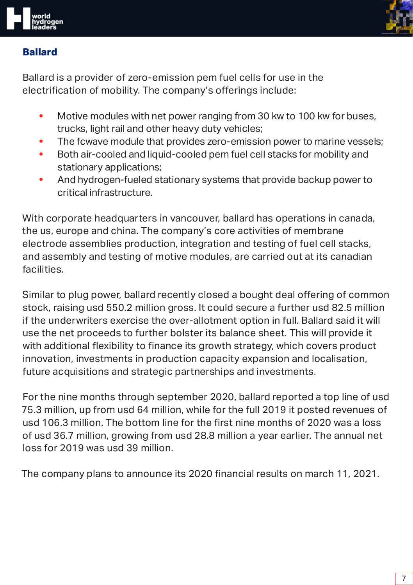



#### **Ballard**

Ballard is a provider of zero-emission pem fuel cells for use in the electrification of mobility. The company's offerings include:

- **•** Motive modules with net power ranging from 30 kw to 100 kw for buses, trucks, light rail and other heavy duty vehicles;
- **•** The fcwave module that provides zero-emission power to marine vessels;
- **•** Both air-cooled and liquid-cooled pem fuel cell stacks for mobility and stationary applications;
- **•** And hydrogen-fueled stationary systems that provide backup power to critical infrastructure.

With corporate headquarters in vancouver, ballard has operations in canada, the us, europe and china. The company's core activities of membrane electrode assemblies production, integration and testing of fuel cell stacks, and assembly and testing of motive modules, are carried out at its canadian facilities.

Similar to plug power, ballard recently closed a bought deal offering of common stock, raising usd 550.2 million gross. It could secure a further usd 82.5 million if the underwriters exercise the over-allotment option in full. Ballard said it will use the net proceeds to further bolster its balance sheet. This will provide it with additional flexibility to finance its growth strategy, which covers product innovation, investments in production capacity expansion and localisation, future acquisitions and strategic partnerships and investments.

For the nine months through september 2020, ballard reported a top line of usd 75.3 million, up from usd 64 million, while for the full 2019 it posted revenues of usd 106.3 million. The bottom line for the first nine months of 2020 was a loss of usd 36.7 million, growing from usd 28.8 million a year earlier. The annual net loss for 2019 was usd 39 million.

The company plans to announce its 2020 financial results on march 11, 2021.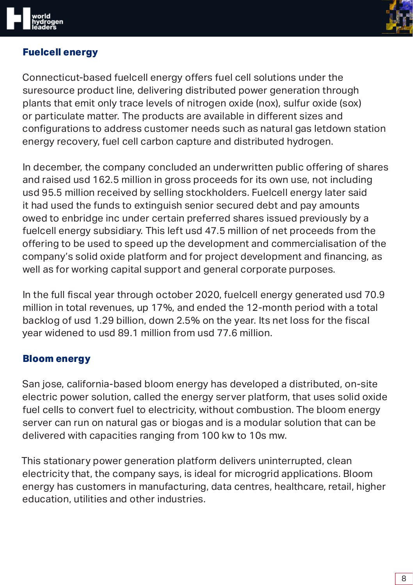

#### **Fuelcell energy**

Connecticut-based fuelcell energy offers fuel cell solutions under the suresource product line, delivering distributed power generation through plants that emit only trace levels of nitrogen oxide (nox), sulfur oxide (sox) or particulate matter. The products are available in different sizes and configurations to address customer needs such as natural gas letdown station energy recovery, fuel cell carbon capture and distributed hydrogen.

In december, the company concluded an underwritten public offering of shares and raised usd 162.5 million in gross proceeds for its own use, not including usd 95.5 million received by selling stockholders. Fuelcell energy later said it had used the funds to extinguish senior secured debt and pay amounts owed to enbridge inc under certain preferred shares issued previously by a fuelcell energy subsidiary. This left usd 47.5 million of net proceeds from the offering to be used to speed up the development and commercialisation of the company's solid oxide platform and for project development and financing, as well as for working capital support and general corporate purposes.

In the full fiscal year through october 2020, fuelcell energy generated usd 70.9 million in total revenues, up 17%, and ended the 12-month period with a total backlog of usd 1.29 billion, down 2.5% on the year. Its net loss for the fiscal year widened to usd 89.1 million from usd 77.6 million.

#### **Bloom energy**

San jose, california-based bloom energy has developed a distributed, on-site electric power solution, called the energy server platform, that uses solid oxide fuel cells to convert fuel to electricity, without combustion. The bloom energy server can run on natural gas or biogas and is a modular solution that can be delivered with capacities ranging from 100 kw to 10s mw.

This stationary power generation platform delivers uninterrupted, clean electricity that, the company says, is ideal for microgrid applications. Bloom energy has customers in manufacturing, data centres, healthcare, retail, higher education, utilities and other industries.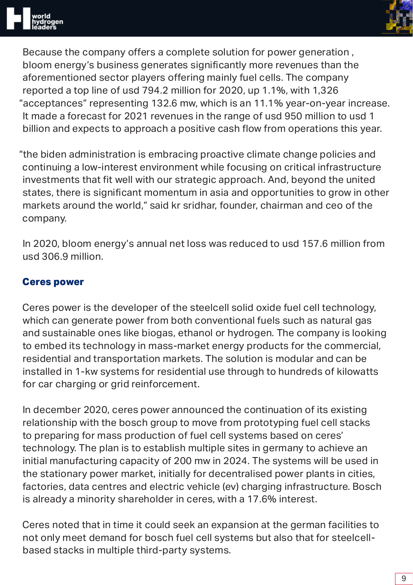

Because the company offers a complete solution for power generation , bloom energy's business generates significantly more revenues than the aforementioned sector players offering mainly fuel cells. The company reported a top line of usd 794.2 million for 2020, up 1.1%, with 1,326 "acceptances" representing 132.6 mw, which is an 11.1% year-on-year increase. It made a forecast for 2021 revenues in the range of usd 950 million to usd 1 billion and expects to approach a positive cash flow from operations this year.

"the biden administration is embracing proactive climate change policies and continuing a low-interest environment while focusing on critical infrastructure investments that fit well with our strategic approach. And, beyond the united states, there is significant momentum in asia and opportunities to grow in other markets around the world," said kr sridhar, founder, chairman and ceo of the company.

In 2020, bloom energy's annual net loss was reduced to usd 157.6 million from usd 306.9 million.

#### **Ceres power**

Ceres power is the developer of the steelcell solid oxide fuel cell technology, which can generate power from both conventional fuels such as natural gas and sustainable ones like biogas, ethanol or hydrogen. The company is looking to embed its technology in mass-market energy products for the commercial, residential and transportation markets. The solution is modular and can be installed in 1-kw systems for residential use through to hundreds of kilowatts for car charging or grid reinforcement.

In december 2020, ceres power announced the continuation of its existing relationship with the bosch group to move from prototyping fuel cell stacks to preparing for mass production of fuel cell systems based on ceres' technology. The plan is to establish multiple sites in germany to achieve an initial manufacturing capacity of 200 mw in 2024. The systems will be used in the stationary power market, initially for decentralised power plants in cities, factories, data centres and electric vehicle (ev) charging infrastructure. Bosch is already a minority shareholder in ceres, with a 17.6% interest.

Ceres noted that in time it could seek an expansion at the german facilities to not only meet demand for bosch fuel cell systems but also that for steelcellbased stacks in multiple third-party systems.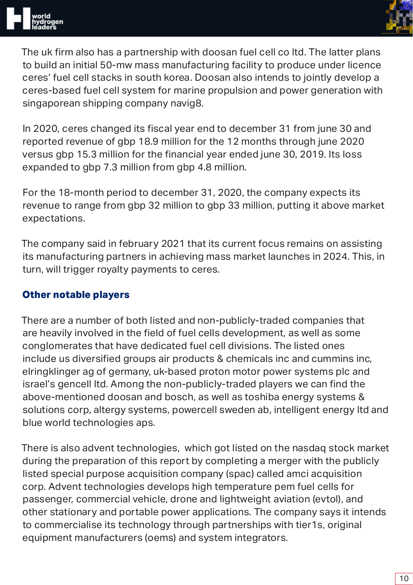

The uk firm also has a partnership with doosan fuel cell co ltd. The latter plans to build an initial 50-mw mass manufacturing facility to produce under licence ceres' fuel cell stacks in south korea. Doosan also intends to jointly develop a ceres-based fuel cell system for marine propulsion and power generation with singaporean shipping company navig8.

In 2020, ceres changed its fiscal year end to december 31 from june 30 and reported revenue of gbp 18.9 million for the 12 months through june 2020 versus gbp 15.3 million for the financial year ended june 30, 2019. Its loss expanded to gbp 7.3 million from gbp 4.8 million.

For the 18-month period to december 31, 2020, the company expects its revenue to range from gbp 32 million to gbp 33 million, putting it above market expectations.

The company said in february 2021 that its current focus remains on assisting its manufacturing partners in achieving mass market launches in 2024. This, in turn, will trigger royalty payments to ceres.

#### **Other notable players**

There are a number of both listed and non-publicly-traded companies that are heavily involved in the field of fuel cells development, as well as some conglomerates that have dedicated fuel cell divisions. The listed ones include us diversified groups air products & chemicals inc and cummins inc, elringklinger ag of germany, uk-based proton motor power systems plc and israel's gencell ltd. Among the non-publicly-traded players we can find the above-mentioned doosan and bosch, as well as toshiba energy systems & solutions corp, altergy systems, powercell sweden ab, intelligent energy ltd and blue world technologies aps.

There is also advent technologies, which got listed on the nasdaq stock market during the preparation of this report by completing a merger with the publicly listed special purpose acquisition company (spac) called amci acquisition corp. Advent technologies develops high temperature pem fuel cells for passenger, commercial vehicle, drone and lightweight aviation (evtol), and other stationary and portable power applications. The company says it intends to commercialise its technology through partnerships with tier1s, original equipment manufacturers (oems) and system integrators.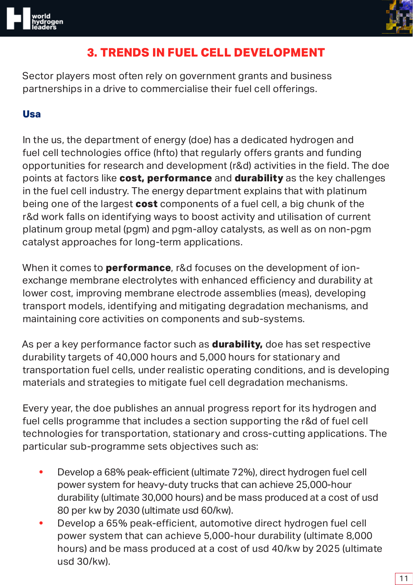



## **3. TRENDS IN FUEL CELL DEVELOPMENT**

Sector players most often rely on government grants and business partnerships in a drive to commercialise their fuel cell offerings.

#### **Usa**

In the us, the department of energy (doe) has a dedicated hydrogen and fuel cell technologies office (hfto) that regularly offers grants and funding opportunities for research and development (r&d) activities in the field. The doe points at factors like **cost, performance** and **durability** as the key challenges in the fuel cell industry. The energy department explains that with platinum being one of the largest **cost** components of a fuel cell, a big chunk of the r&d work falls on identifying ways to boost activity and utilisation of current platinum group metal (pgm) and pgm-alloy catalysts, as well as on non-pgm catalyst approaches for long-term applications.

When it comes to **performance**, r&d focuses on the development of ionexchange membrane electrolytes with enhanced efficiency and durability at lower cost, improving membrane electrode assemblies (meas), developing transport models, identifying and mitigating degradation mechanisms, and maintaining core activities on components and sub-systems.

As per a key performance factor such as **durability,** doe has set respective durability targets of 40,000 hours and 5,000 hours for stationary and transportation fuel cells, under realistic operating conditions, and is developing materials and strategies to mitigate fuel cell degradation mechanisms.

Every year, the doe publishes an annual progress report for its hydrogen and fuel cells programme that includes a section supporting the r&d of fuel cell technologies for transportation, stationary and cross-cutting applications. The particular sub-programme sets objectives such as:

- **•** Develop a 68% peak-efficient (ultimate 72%), direct hydrogen fuel cell power system for heavy-duty trucks that can achieve 25,000-hour durability (ultimate 30,000 hours) and be mass produced at a cost of usd 80 per kw by 2030 (ultimate usd 60/kw).
- **•** Develop a 65% peak-efficient, automotive direct hydrogen fuel cell power system that can achieve 5,000-hour durability (ultimate 8,000 hours) and be mass produced at a cost of usd 40/kw by 2025 (ultimate usd 30/kw).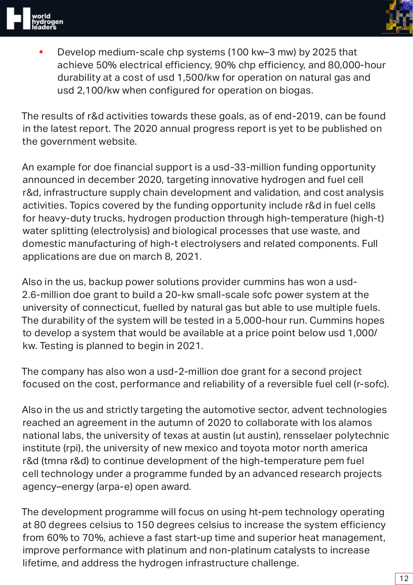



**•** Develop medium-scale chp systems (100 kw–3 mw) by 2025 that achieve 50% electrical efficiency, 90% chp efficiency, and 80,000-hour durability at a cost of usd 1,500/kw for operation on natural gas and usd 2,100/kw when configured for operation on biogas.

The results of r&d activities towards these goals, as of end-2019, can be found in the latest report. The 2020 annual progress report is yet to be published on the government website.

An example for doe financial support is a usd-33-million funding opportunity announced in december 2020, targeting innovative hydrogen and fuel cell r&d, infrastructure supply chain development and validation, and cost analysis activities. Topics covered by the funding opportunity include r&d in fuel cells for heavy-duty trucks, hydrogen production through high-temperature (high-t) water splitting (electrolysis) and biological processes that use waste, and domestic manufacturing of high-t electrolysers and related components. Full applications are due on march 8, 2021.

Also in the us, backup power solutions provider cummins has won a usd-2.6-million doe grant to build a 20-kw small-scale sofc power system at the university of connecticut, fuelled by natural gas but able to use multiple fuels. The durability of the system will be tested in a 5,000-hour run. Cummins hopes to develop a system that would be available at a price point below usd 1,000/ kw. Testing is planned to begin in 2021.

The company has also won a usd-2-million doe grant for a second project focused on the cost, performance and reliability of a reversible fuel cell (r-sofc).

Also in the us and strictly targeting the automotive sector, advent technologies reached an agreement in the autumn of 2020 to collaborate with los alamos national labs, the university of texas at austin (ut austin), rensselaer polytechnic institute (rpi), the university of new mexico and toyota motor north america r&d (tmna r&d) to continue development of the high-temperature pem fuel cell technology under a programme funded by an advanced research projects agency–energy (arpa-e) open award.

The development programme will focus on using ht-pem technology operating at 80 degrees celsius to 150 degrees celsius to increase the system efficiency from 60% to 70%, achieve a fast start-up time and superior heat management, improve performance with platinum and non-platinum catalysts to increase lifetime, and address the hydrogen infrastructure challenge.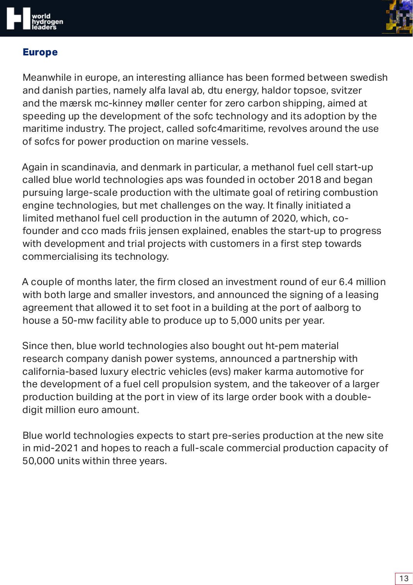

#### **Europe**

Meanwhile in europe, an interesting alliance has been formed between swedish and danish parties, namely alfa laval ab, dtu energy, haldor topsoe, svitzer and the mærsk mc-kinney møller center for zero carbon shipping, aimed at speeding up the development of the sofc technology and its adoption by the maritime industry. The project, called sofc4maritime, revolves around the use of sofcs for power production on marine vessels.

Again in scandinavia, and denmark in particular, a methanol fuel cell start-up called blue world technologies aps was founded in october 2018 and began pursuing large-scale production with the ultimate goal of retiring combustion engine technologies, but met challenges on the way. It finally initiated a limited methanol fuel cell production in the autumn of 2020, which, cofounder and cco mads friis jensen explained, enables the start-up to progress with development and trial projects with customers in a first step towards commercialising its technology.

A couple of months later, the firm closed an investment round of eur 6.4 million with both large and smaller investors, and announced the signing of a leasing agreement that allowed it to set foot in a building at the port of aalborg to house a 50-mw facility able to produce up to 5,000 units per year.

Since then, blue world technologies also bought out ht-pem material research company danish power systems, announced a partnership with california-based luxury electric vehicles (evs) maker karma automotive for the development of a fuel cell propulsion system, and the takeover of a larger production building at the port in view of its large order book with a doubledigit million euro amount.

Blue world technologies expects to start pre-series production at the new site in mid-2021 and hopes to reach a full-scale commercial production capacity of 50,000 units within three years.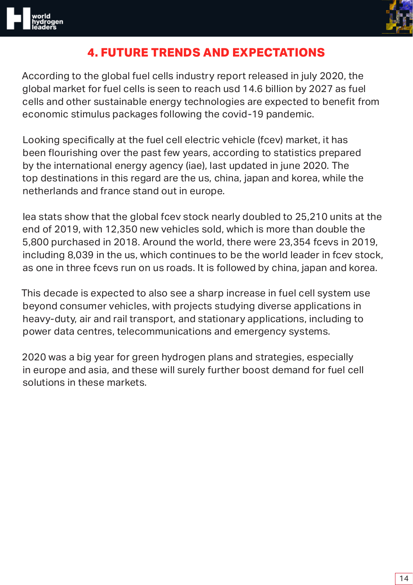



## **4. FUTURE TRENDS AND EXPECTATIONS**

According to the global fuel cells industry report released in july 2020, the global market for fuel cells is seen to reach usd 14.6 billion by 2027 as fuel cells and other sustainable energy technologies are expected to benefit from economic stimulus packages following the covid-19 pandemic.

Looking specifically at the fuel cell electric vehicle (fcev) market, it has been flourishing over the past few years, according to statistics prepared by the international energy agency (iae), last updated in june 2020. The top destinations in this regard are the us, china, japan and korea, while the netherlands and france stand out in europe.

Iea stats show that the global fcev stock nearly doubled to 25,210 units at the end of 2019, with 12,350 new vehicles sold, which is more than double the 5,800 purchased in 2018. Around the world, there were 23,354 fcevs in 2019, including 8,039 in the us, which continues to be the world leader in fcev stock, as one in three fcevs run on us roads. It is followed by china, japan and korea.

This decade is expected to also see a sharp increase in fuel cell system use beyond consumer vehicles, with projects studying diverse applications in heavy-duty, air and rail transport, and stationary applications, including to power data centres, telecommunications and emergency systems.

2020 was a big year for green hydrogen plans and strategies, especially in europe and asia, and these will surely further boost demand for fuel cell solutions in these markets.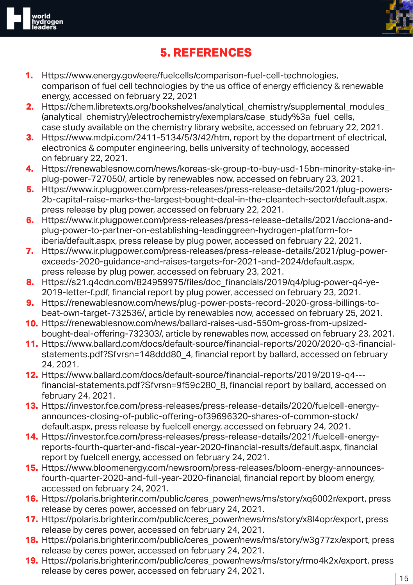

## **5. REFERENCES**

- **1.** Https://www.energy.gov/eere/fuelcells/comparison-fuel-cell-technologies, comparison of fuel cell technologies by the us office of energy efficiency & renewable energy, accessed on february 22, 2021
- **2.** Https://chem.libretexts.org/bookshelves/analytical\_chemistry/supplemental\_modules (analytical chemistry)/electrochemistry/exemplars/case\_study%3a\_fuel\_cells, case study available on the chemistry library website, accessed on february 22, 2021.
- **3.** Https://www.mdpi.com/2411-5134/5/3/42/htm, report by the department of electrical, electronics & computer engineering, bells university of technology, accessed on february 22, 2021.
- **4.** Https://renewablesnow.com/news/koreas-sk-group-to-buy-usd-15bn-minority-stake-inplug-power-727050/, article by renewables now, accessed on february 23, 2021.
- **5.** Https://www.ir.plugpower.com/press-releases/press-release-details/2021/plug-powers-2b-capital-raise-marks-the-largest-bought-deal-in-the-cleantech-sector/default.aspx, press release by plug power, accessed on february 22, 2021.
- **6.** Https://www.ir.plugpower.com/press-releases/press-release-details/2021/acciona-andplug-power-to-partner-on-establishing-leadinggreen-hydrogen-platform-foriberia/default.aspx, press release by plug power, accessed on february 22, 2021.
- **7.** Https://www.ir.plugpower.com/press-releases/press-release-details/2021/plug-powerexceeds-2020-guidance-and-raises-targets-for-2021-and-2024/default.aspx, press release by plug power, accessed on february 23, 2021.
- **8.** Https://s21.q4cdn.com/824959975/files/doc\_financials/2019/q4/plug-power-q4-ye-2019-letter-f.pdf, financial report by plug power, accessed on february 23, 2021.
- **9.** Https://renewablesnow.com/news/plug-power-posts-record-2020-gross-billings-tobeat-own-target-732536/, article by renewables now, accessed on february 25, 2021.
- **10.** Https://renewablesnow.com/news/ballard-raises-usd-550m-gross-from-upsizedbought-deal-offering-732303/, article by renewables now, accessed on february 23, 2021.
- **11.** Https://www.ballard.com/docs/default-source/financial-reports/2020/2020-q3-financialstatements.pdf?Sfvrsn=148ddd80\_4, financial report by ballard, accessed on february 24, 2021.
- **12.** Https://www.ballard.com/docs/default-source/financial-reports/2019/2019-q4-- financial-statements.pdf?Sfvrsn=9f59c280\_8, financial report by ballard, accessed on february 24, 2021.
- **13.** Https://investor.fce.com/press-releases/press-release-details/2020/fuelcell-energyannounces-closing-of-public-offering-of39696320-shares-of-common-stock/ default.aspx, press release by fuelcell energy, accessed on february 24, 2021.
- **14.** Https://investor.fce.com/press-releases/press-release-details/2021/fuelcell-energyreports-fourth-quarter-and-fiscal-year-2020-financial-results/default.aspx, financial report by fuelcell energy, accessed on february 24, 2021.
- **15.** Https://www.bloomenergy.com/newsroom/press-releases/bloom-energy-announcesfourth-quarter-2020-and-full-year-2020-financial, financial report by bloom energy, accessed on february 24, 2021.
- **16.** Https://polaris.brighterir.com/public/ceres\_power/news/rns/story/xq6002r/export, press release by ceres power, accessed on february 24, 2021.
- **17.** Https://polaris.brighterir.com/public/ceres\_power/news/rns/story/x8l4opr/export, press release by ceres power, accessed on february 24, 2021.
- **18.** Https://polaris.brighterir.com/public/ceres\_power/news/rns/story/w3g77zx/export, press release by ceres power, accessed on february 24, 2021.
- **19.** Https://polaris.brighterir.com/public/ceres\_power/news/rns/story/rmo4k2x/export, press release by ceres power, accessed on february 24, 2021.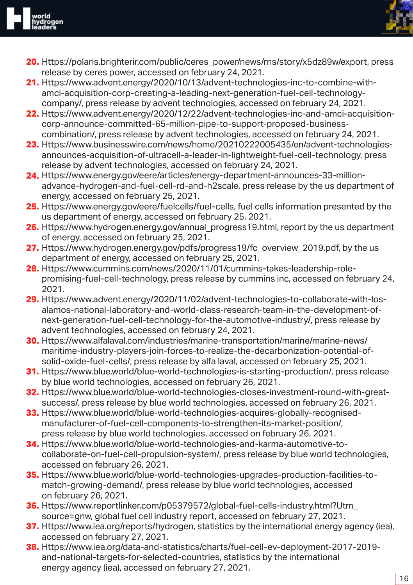

- **20.** Https://polaris.brighterir.com/public/ceres\_power/news/rns/story/x5dz89w/export, press release by ceres power, accessed on february 24, 2021.
- **21.** Https://www.advent.energy/2020/10/13/advent-technologies-inc-to-combine-withamci-acquisition-corp-creating-a-leading-next-generation-fuel-cell-technologycompany/, press release by advent technologies, accessed on february 24, 2021.
- **22.** Https://www.advent.energy/2020/12/22/advent-technologies-inc-and-amci-acquisitioncorp-announce-committed-65-million-pipe-to-support-proposed-businesscombination/, press release by advent technologies, accessed on february 24, 2021.
- **23.** Https://www.businesswire.com/news/home/20210222005435/en/advent-technologiesannounces-acquisition-of-ultracell-a-leader-in-lightweight-fuel-cell-technology, press release by advent technologies, accessed on february 24, 2021.
- **24.** Https://www.energy.gov/eere/articles/energy-department-announces-33-millionadvance-hydrogen-and-fuel-cell-rd-and-h2scale, press release by the us department of energy, accessed on february 25, 2021.
- **25.** Https://www.energy.gov/eere/fuelcells/fuel-cells, fuel cells information presented by the us department of energy, accessed on february 25, 2021.
- **26.** Https://www.hydrogen.energy.gov/annual\_progress19.html, report by the us department of energy, accessed on february 25, 2021.
- 27. Https://www.hydrogen.energy.gov/pdfs/progress19/fc\_overview\_2019.pdf, by the us department of energy, accessed on february 25, 2021.
- **28.** Https://www.cummins.com/news/2020/11/01/cummins-takes-leadership-rolepromising-fuel-cell-technology, press release by cummins inc, accessed on february 24, 2021.
- **29.** Https://www.advent.energy/2020/11/02/advent-technologies-to-collaborate-with-losalamos-national-laboratory-and-world-class-research-team-in-the-development-ofnext-generation-fuel-cell-technology-for-the-automotive-industry/, press release by advent technologies, accessed on february 24, 2021.
- **30.** Https://www.alfalaval.com/industries/marine-transportation/marine/marine-news/ maritime-industry-players-join-forces-to-realize-the-decarbonization-potential-ofsolid-oxide-fuel-cells/, press release by alfa laval, accessed on february 25, 2021.
- **31.** Https://www.blue.world/blue-world-technologies-is-starting-production/, press release by blue world technologies, accessed on february 26, 2021.
- **32.** Https://www.blue.world/blue-world-technologies-closes-investment-round-with-greatsuccess/, press release by blue world technologies, accessed on february 26, 2021.
- **33.** Https://www.blue.world/blue-world-technologies-acquires-globally-recognisedmanufacturer-of-fuel-cell-components-to-strengthen-its-market-position/, press release by blue world technologies, accessed on february 26, 2021.
- **34.** Https://www.blue.world/blue-world-technologies-and-karma-automotive-tocollaborate-on-fuel-cell-propulsion-system/, press release by blue world technologies, accessed on february 26, 2021.
- **35.** Https://www.blue.world/blue-world-technologies-upgrades-production-facilities-tomatch-growing-demand/, press release by blue world technologies, accessed on february 26, 2021.
- **36.** Https://www.reportlinker.com/p05379572/global-fuel-cells-industry.html?Utm\_ source=gnw, global fuel cell industry report, accessed on february 27, 2021.
- **37.** Https://www.iea.org/reports/hydrogen, statistics by the international energy agency (iea), accessed on february 27, 2021.
- **38.** Https://www.iea.org/data-and-statistics/charts/fuel-cell-ev-deployment-2017-2019 and-national-targets-for-selected-countries, statistics by the international energy agency (iea), accessed on february 27, 2021.